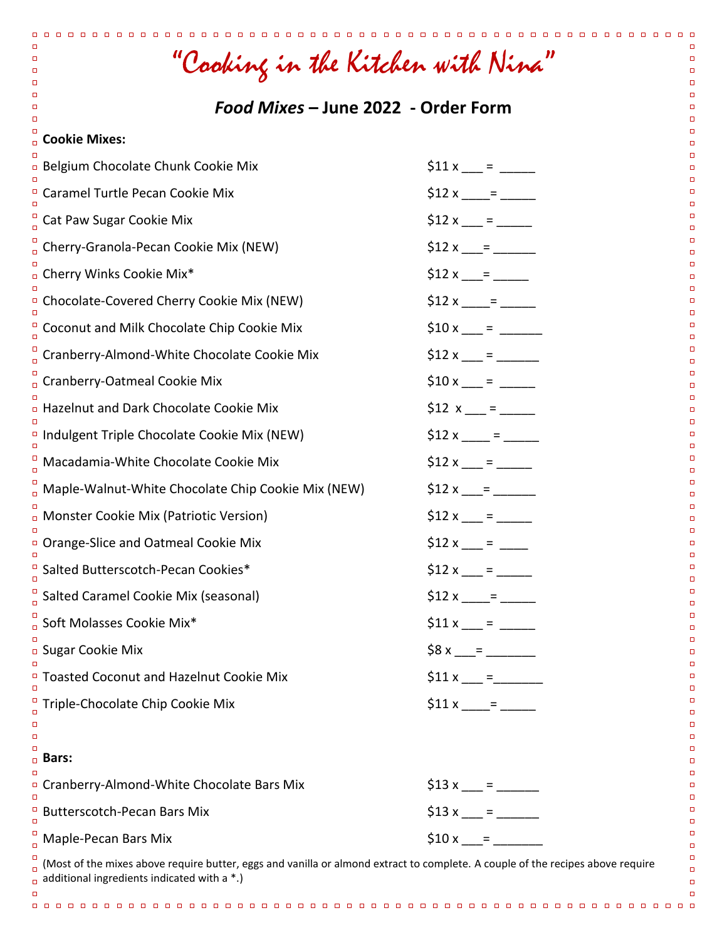| "Cooking in the Kitchen with Nina"                                                                                                                                                                                               |                  |  |
|----------------------------------------------------------------------------------------------------------------------------------------------------------------------------------------------------------------------------------|------------------|--|
| Food Mixes - June 2022 - Order Form                                                                                                                                                                                              |                  |  |
| о<br><b>Cookie Mixes:</b><br>$\Box$                                                                                                                                                                                              |                  |  |
| <b>Belgium Chocolate Chunk Cookie Mix</b>                                                                                                                                                                                        | $$11 x$ = ___    |  |
| <sup>D</sup> Caramel Turtle Pecan Cookie Mix                                                                                                                                                                                     | $$12 x \_ =$     |  |
| Cat Paw Sugar Cookie Mix                                                                                                                                                                                                         | $$12 x$ = $-$    |  |
| Cherry-Granola-Pecan Cookie Mix (NEW)                                                                                                                                                                                            | $$12 x \_ =$     |  |
| <sup>D</sup> Cherry Winks Cookie Mix*                                                                                                                                                                                            |                  |  |
| <sup>D</sup> Chocolate-Covered Cherry Cookie Mix (NEW)                                                                                                                                                                           | $$12 x \_ =$     |  |
| Coconut and Milk Chocolate Chip Cookie Mix                                                                                                                                                                                       |                  |  |
| Cranberry-Almond-White Chocolate Cookie Mix                                                                                                                                                                                      | $$12 x \_ =$     |  |
| n Cranberry-Oatmeal Cookie Mix                                                                                                                                                                                                   |                  |  |
| □ Hazelnut and Dark Chocolate Cookie Mix                                                                                                                                                                                         | $$12 x \_ =$     |  |
| <sup>D</sup> Indulgent Triple Chocolate Cookie Mix (NEW)                                                                                                                                                                         | $$12 x$ = $-$    |  |
| $\frac{1}{0}$ Macadamia-White Chocolate Cookie Mix                                                                                                                                                                               | $$12 x \_ =$     |  |
| Maple-Walnut-White Chocolate Chip Cookie Mix (NEW)                                                                                                                                                                               |                  |  |
| <b>n</b> Monster Cookie Mix (Patriotic Version)                                                                                                                                                                                  | $$12 x$ = $-$    |  |
| <sup>o</sup> Orange-Slice and Oatmeal Cookie Mix                                                                                                                                                                                 | $$12 x$ = __     |  |
| <sup>D</sup> Salted Butterscotch-Pecan Cookies*                                                                                                                                                                                  | \$12 x $=$ = $-$ |  |
| $^{\circ}$ Salted Caramel Cookie Mix (seasonal)                                                                                                                                                                                  | $$12 x \_ =$     |  |
| Soft Molasses Cookie Mix*                                                                                                                                                                                                        | $$11 x$ = _____  |  |
| <b>D</b> Sugar Cookie Mix                                                                                                                                                                                                        | $$8 x \_ =$      |  |
| <sup>D</sup> Toasted Coconut and Hazelnut Cookie Mix                                                                                                                                                                             | $$11 x \_ =$     |  |
| $\frac{0}{0}$ Triple-Chocolate Chip Cookie Mix                                                                                                                                                                                   | $$11 x \_ =$     |  |
| о<br>ο                                                                                                                                                                                                                           |                  |  |
| ο<br>□ Bars:                                                                                                                                                                                                                     |                  |  |
| <sup>D</sup> Cranberry-Almond-White Chocolate Bars Mix                                                                                                                                                                           | $$13 x$ = $$$    |  |
| <b>Butterscotch-Pecan Bars Mix</b>                                                                                                                                                                                               | $$13x =$         |  |
| Maple-Pecan Bars Mix                                                                                                                                                                                                             | $$10x =$         |  |
| $\frac{1}{0}$ (Most of the mixes above require butter, eggs and vanilla or almond extract to complete. A couple of the recipes above require<br>$\Box$<br>$\Box$ additional ingredients indicated with a *.)<br>$\Box$<br>о<br>□ |                  |  |
|                                                                                                                                                                                                                                  |                  |  |